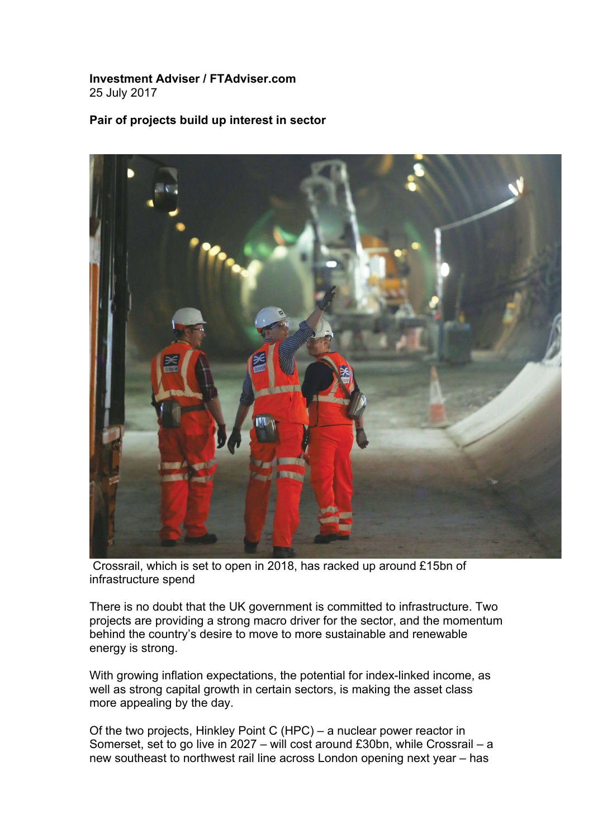## **Investment Adviser / FTAdviser.com** 25 July 2017

## **Pair of projects build up interest in sector**



Crossrail, which is set to open in 2018, has racked up around £15bn of infrastructure spend

There is no doubt that the UK government is committed to infrastructure. Two projects are providing a strong macro driver for the sector, and the momentum behind the country's desire to move to more sustainable and renewable energy is strong.

With growing inflation expectations, the potential for index-linked income, as well as strong capital growth in certain sectors, is making the asset class more appealing by the day.

Of the two projects, Hinkley Point C (HPC) – a nuclear power reactor in Somerset, set to go live in 2027 – will cost around £30bn, while Crossrail – a new southeast to northwest rail line across London opening next year – has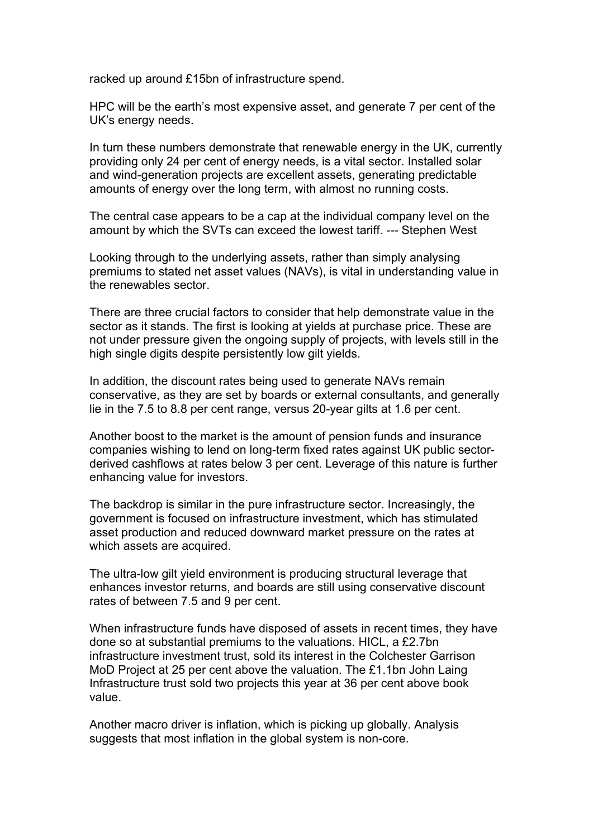racked up around £15bn of infrastructure spend.

HPC will be the earth's most expensive asset, and generate 7 per cent of the UK's energy needs.

In turn these numbers demonstrate that renewable energy in the UK, currently providing only 24 per cent of energy needs, is a vital sector. Installed solar and wind-generation projects are excellent assets, generating predictable amounts of energy over the long term, with almost no running costs.

The central case appears to be a cap at the individual company level on the amount by which the SVTs can exceed the lowest tariff. --- Stephen West

Looking through to the underlying assets, rather than simply analysing premiums to stated net asset values (NAVs), is vital in understanding value in the renewables sector.

There are three crucial factors to consider that help demonstrate value in the sector as it stands. The first is looking at yields at purchase price. These are not under pressure given the ongoing supply of projects, with levels still in the high single digits despite persistently low gilt yields.

In addition, the discount rates being used to generate NAVs remain conservative, as they are set by boards or external consultants, and generally lie in the 7.5 to 8.8 per cent range, versus 20-year gilts at 1.6 per cent.

Another boost to the market is the amount of pension funds and insurance companies wishing to lend on long-term fixed rates against UK public sectorderived cashflows at rates below 3 per cent. Leverage of this nature is further enhancing value for investors.

The backdrop is similar in the pure infrastructure sector. Increasingly, the government is focused on infrastructure investment, which has stimulated asset production and reduced downward market pressure on the rates at which assets are acquired.

The ultra-low gilt yield environment is producing structural leverage that enhances investor returns, and boards are still using conservative discount rates of between 7.5 and 9 per cent.

When infrastructure funds have disposed of assets in recent times, they have done so at substantial premiums to the valuations. HICL, a £2.7bn infrastructure investment trust, sold its interest in the Colchester Garrison MoD Project at 25 per cent above the valuation. The £1.1bn John Laing Infrastructure trust sold two projects this year at 36 per cent above book value.

Another macro driver is inflation, which is picking up globally. Analysis suggests that most inflation in the global system is non-core.